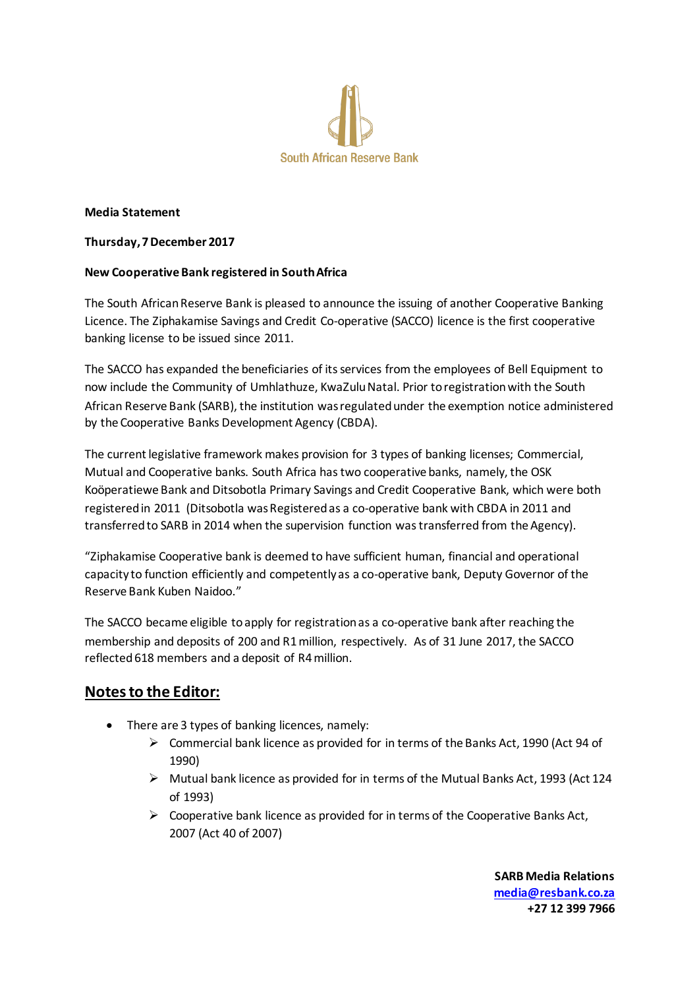

### **Media Statement**

### **Thursday, 7 December 2017**

## **New Cooperative Bank registered in South Africa**

The South African Reserve Bank is pleased to announce the issuing of another Cooperative Banking Licence. The Ziphakamise Savings and Credit Co-operative (SACCO) licence is the first cooperative banking license to be issued since 2011.

The SACCO has expanded the beneficiaries of its services from the employees of Bell Equipment to now include the Community of Umhlathuze, KwaZulu Natal. Prior to registration with the South African Reserve Bank (SARB), the institution was regulated under the exemption notice administered by the Cooperative Banks Development Agency (CBDA).

The current legislative framework makes provision for 3 types of banking licenses; Commercial, Mutual and Cooperative banks. South Africa has two cooperative banks, namely, the OSK Koöperatiewe Bank and Ditsobotla Primary Savings and Credit Cooperative Bank, which were both registered in 2011 (Ditsobotla was Registered as a co-operative bank with CBDA in 2011 and transferred to SARB in 2014 when the supervision function was transferred from the Agency).

"Ziphakamise Cooperative bank is deemed to have sufficient human, financial and operational capacity to function efficiently and competently as a co-operative bank, Deputy Governor of the Reserve Bank Kuben Naidoo."

The SACCO became eligible to apply for registration as a co-operative bank after reaching the membership and deposits of 200 and R1 million, respectively. As of 31 June 2017, the SACCO reflected 618 members and a deposit of R4 million.

# **Notes to the Editor:**

- There are 3 types of banking licences, namely:
	- $\triangleright$  Commercial bank licence as provided for in terms of the Banks Act, 1990 (Act 94 of 1990)
	- $\triangleright$  Mutual bank licence as provided for in terms of the Mutual Banks Act, 1993 (Act 124 of 1993)
	- $\triangleright$  Cooperative bank licence as provided for in terms of the Cooperative Banks Act, 2007 (Act 40 of 2007)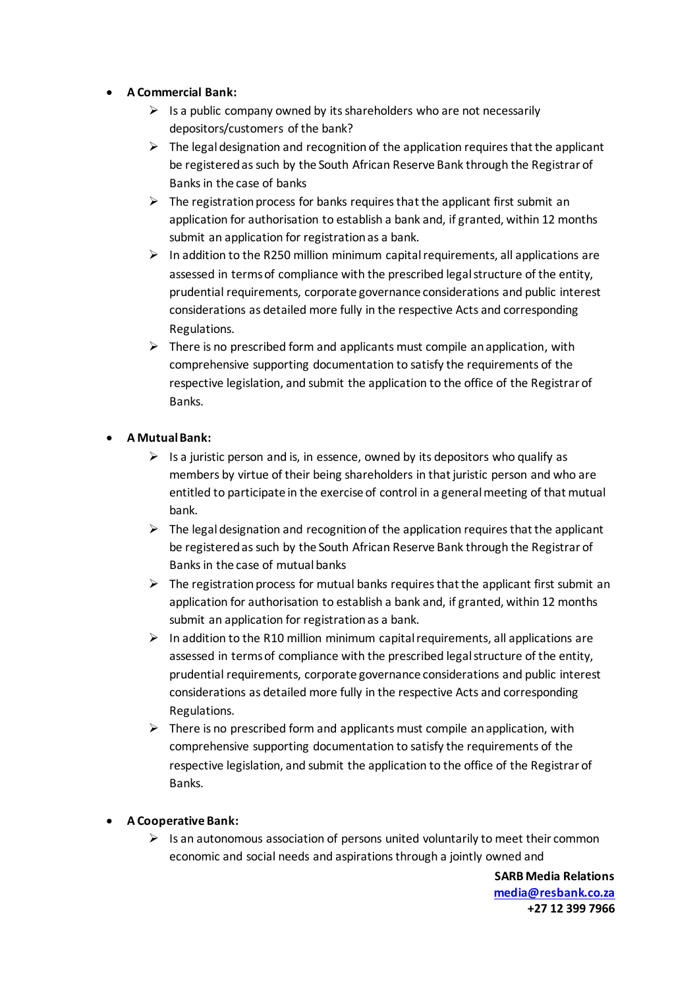- **A Commercial Bank:**
	- $\triangleright$  Is a public company owned by its shareholders who are not necessarily depositors/customers of the bank?
	- $\triangleright$  The legal designation and recognition of the application requires that the applicant be registered as such by the South African Reserve Bank through the Registrar of Banks in the case of banks
	- $\triangleright$  The registration process for banks requires that the applicant first submit an application for authorisation to establish a bank and, if granted, within 12 months submit an application for registration as a bank.
	- $\triangleright$  In addition to the R250 million minimum capital requirements, all applications are assessed in terms of compliance with the prescribed legal structure of the entity, prudential requirements, corporate governance considerations and public interest considerations as detailed more fully in the respective Acts and corresponding Regulations.
	- $\triangleright$  There is no prescribed form and applicants must compile an application, with comprehensive supporting documentation to satisfy the requirements of the respective legislation, and submit the application to the office of the Registrar of Banks.

## **A Mutual Bank:**

- $\triangleright$  Is a juristic person and is, in essence, owned by its depositors who qualify as members by virtue of their being shareholders in that juristic person and who are entitled to participate in the exercise of control in a general meeting of that mutual bank.
- $\triangleright$  The legal designation and recognition of the application requires that the applicant be registered as such by the South African Reserve Bank through the Registrar of Banks in the case of mutual banks
- $\triangleright$  The registration process for mutual banks requires that the applicant first submit an application for authorisation to establish a bank and, if granted, within 12 months submit an application for registration as a bank.
- $\triangleright$  In addition to the R10 million minimum capital requirements, all applications are assessed in terms of compliance with the prescribed legal structure of the entity, prudential requirements, corporate governance considerations and public interest considerations as detailed more fully in the respective Acts and corresponding Regulations.
- $\triangleright$  There is no prescribed form and applicants must compile an application, with comprehensive supporting documentation to satisfy the requirements of the respective legislation, and submit the application to the office of the Registrar of Banks.

# **A Cooperative Bank:**

 $\triangleright$  Is an autonomous association of persons united voluntarily to meet their common economic and social needs and aspirations through a jointly owned and